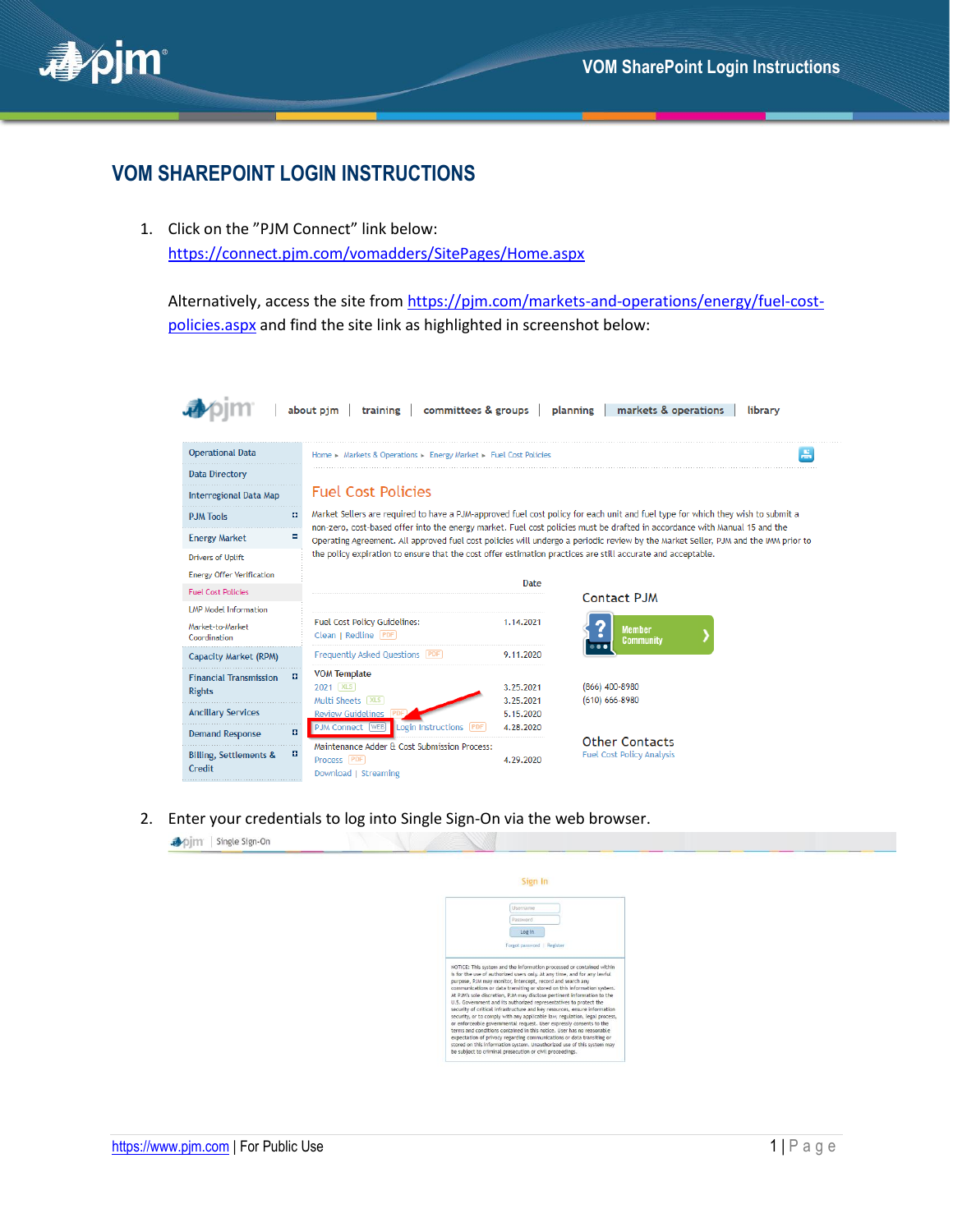

## **VOM SHAREPOINT LOGIN INSTRUCTIONS**

1. Click on the "PJM Connect" link below: <https://connect.pjm.com/vomadders/SitePages/Home.aspx>

Alternatively, access the site fro[m https://pjm.com/markets-and-operations/energy/fuel-cost](https://pjm.com/markets-and-operations/energy/fuel-cost-policies.aspx)[policies.aspx](https://pjm.com/markets-and-operations/energy/fuel-cost-policies.aspx) and find the site link as highlighted in screenshot below:

| <b>Operational Data</b><br>H<br>Home > Markets & Operations > Energy Market > Fuel Cost Policies<br><b>Data Directory</b><br><b>Fuel Cost Policies</b><br>Interregional Data Map<br>Market Sellers are required to have a PJM-approved fuel cost policy for each unit and fuel type for which they wish to submit a<br>o<br><b>P.JM Tools</b><br>non-zero, cost-based offer into the energy market. Fuel cost policies must be drafted in accordance with Manual 15 and the<br><b>Energy Market</b><br>Е<br>Operating Agreement. All approved fuel cost policies will undergo a periodic review by the Market Seller, PJM and the IMM prior to<br>the policy expiration to ensure that the cost offer estimation practices are still accurate and acceptable.<br><b>Drivers of Uplift</b><br><b>Energy Offer Verification</b><br>Date<br><b>Fuel Cost Policies</b><br>Contact PJM<br><b>LMP Model Information</b><br>Fuel Cost Policy Guidelines:<br>1.14.2021<br>Market-to-Market<br><b>Member</b><br>Clean   Redline [PDF]<br>Coordination<br><b>Community</b><br>Frequently Asked Questions (PDF)<br>9.11.2020<br><b>Capacity Market (RPM)</b><br><b>VOM Template</b><br>в<br><b>Financial Transmission</b><br>2021   XLS<br>$(866)$ 400-8980<br>3.25.2021<br><b>Rights</b><br>Multi Sheets   XLS  <br>3.25.2021<br>$(610) 666 - 8980$<br><b>Ancillary Services</b><br><b>Review Guidelines PI</b><br>5.15.2020<br><b>PJM Connect WEB</b><br>Login Instructions<br>4.28.2020<br><b>PDF</b><br>a<br><b>Demand Response</b><br><b>Other Contacts</b><br>Maintenance Adder & Cost Submission Process:<br><b>Fuel Cost Policy Analysis</b><br>п<br><b>Billing, Settlements &amp;</b><br>Process PDF<br>4.29.2020<br>Credit<br>Download L Streaming | about pjm<br>training committees & groups |  | markets & operations<br>planning | library |  |  |  |  |
|---------------------------------------------------------------------------------------------------------------------------------------------------------------------------------------------------------------------------------------------------------------------------------------------------------------------------------------------------------------------------------------------------------------------------------------------------------------------------------------------------------------------------------------------------------------------------------------------------------------------------------------------------------------------------------------------------------------------------------------------------------------------------------------------------------------------------------------------------------------------------------------------------------------------------------------------------------------------------------------------------------------------------------------------------------------------------------------------------------------------------------------------------------------------------------------------------------------------------------------------------------------------------------------------------------------------------------------------------------------------------------------------------------------------------------------------------------------------------------------------------------------------------------------------------------------------------------------------------------------------------------------------------------------------------------------------------------------------------------------------------|-------------------------------------------|--|----------------------------------|---------|--|--|--|--|
|                                                                                                                                                                                                                                                                                                                                                                                                                                                                                                                                                                                                                                                                                                                                                                                                                                                                                                                                                                                                                                                                                                                                                                                                                                                                                                                                                                                                                                                                                                                                                                                                                                                                                                                                                   |                                           |  |                                  |         |  |  |  |  |
|                                                                                                                                                                                                                                                                                                                                                                                                                                                                                                                                                                                                                                                                                                                                                                                                                                                                                                                                                                                                                                                                                                                                                                                                                                                                                                                                                                                                                                                                                                                                                                                                                                                                                                                                                   |                                           |  |                                  |         |  |  |  |  |
|                                                                                                                                                                                                                                                                                                                                                                                                                                                                                                                                                                                                                                                                                                                                                                                                                                                                                                                                                                                                                                                                                                                                                                                                                                                                                                                                                                                                                                                                                                                                                                                                                                                                                                                                                   |                                           |  |                                  |         |  |  |  |  |
|                                                                                                                                                                                                                                                                                                                                                                                                                                                                                                                                                                                                                                                                                                                                                                                                                                                                                                                                                                                                                                                                                                                                                                                                                                                                                                                                                                                                                                                                                                                                                                                                                                                                                                                                                   |                                           |  |                                  |         |  |  |  |  |
|                                                                                                                                                                                                                                                                                                                                                                                                                                                                                                                                                                                                                                                                                                                                                                                                                                                                                                                                                                                                                                                                                                                                                                                                                                                                                                                                                                                                                                                                                                                                                                                                                                                                                                                                                   |                                           |  |                                  |         |  |  |  |  |
|                                                                                                                                                                                                                                                                                                                                                                                                                                                                                                                                                                                                                                                                                                                                                                                                                                                                                                                                                                                                                                                                                                                                                                                                                                                                                                                                                                                                                                                                                                                                                                                                                                                                                                                                                   |                                           |  |                                  |         |  |  |  |  |
|                                                                                                                                                                                                                                                                                                                                                                                                                                                                                                                                                                                                                                                                                                                                                                                                                                                                                                                                                                                                                                                                                                                                                                                                                                                                                                                                                                                                                                                                                                                                                                                                                                                                                                                                                   |                                           |  |                                  |         |  |  |  |  |
|                                                                                                                                                                                                                                                                                                                                                                                                                                                                                                                                                                                                                                                                                                                                                                                                                                                                                                                                                                                                                                                                                                                                                                                                                                                                                                                                                                                                                                                                                                                                                                                                                                                                                                                                                   |                                           |  |                                  |         |  |  |  |  |
|                                                                                                                                                                                                                                                                                                                                                                                                                                                                                                                                                                                                                                                                                                                                                                                                                                                                                                                                                                                                                                                                                                                                                                                                                                                                                                                                                                                                                                                                                                                                                                                                                                                                                                                                                   |                                           |  |                                  |         |  |  |  |  |
|                                                                                                                                                                                                                                                                                                                                                                                                                                                                                                                                                                                                                                                                                                                                                                                                                                                                                                                                                                                                                                                                                                                                                                                                                                                                                                                                                                                                                                                                                                                                                                                                                                                                                                                                                   |                                           |  |                                  |         |  |  |  |  |
|                                                                                                                                                                                                                                                                                                                                                                                                                                                                                                                                                                                                                                                                                                                                                                                                                                                                                                                                                                                                                                                                                                                                                                                                                                                                                                                                                                                                                                                                                                                                                                                                                                                                                                                                                   |                                           |  |                                  |         |  |  |  |  |
|                                                                                                                                                                                                                                                                                                                                                                                                                                                                                                                                                                                                                                                                                                                                                                                                                                                                                                                                                                                                                                                                                                                                                                                                                                                                                                                                                                                                                                                                                                                                                                                                                                                                                                                                                   |                                           |  |                                  |         |  |  |  |  |
|                                                                                                                                                                                                                                                                                                                                                                                                                                                                                                                                                                                                                                                                                                                                                                                                                                                                                                                                                                                                                                                                                                                                                                                                                                                                                                                                                                                                                                                                                                                                                                                                                                                                                                                                                   |                                           |  |                                  |         |  |  |  |  |
|                                                                                                                                                                                                                                                                                                                                                                                                                                                                                                                                                                                                                                                                                                                                                                                                                                                                                                                                                                                                                                                                                                                                                                                                                                                                                                                                                                                                                                                                                                                                                                                                                                                                                                                                                   |                                           |  |                                  |         |  |  |  |  |
|                                                                                                                                                                                                                                                                                                                                                                                                                                                                                                                                                                                                                                                                                                                                                                                                                                                                                                                                                                                                                                                                                                                                                                                                                                                                                                                                                                                                                                                                                                                                                                                                                                                                                                                                                   |                                           |  |                                  |         |  |  |  |  |
|                                                                                                                                                                                                                                                                                                                                                                                                                                                                                                                                                                                                                                                                                                                                                                                                                                                                                                                                                                                                                                                                                                                                                                                                                                                                                                                                                                                                                                                                                                                                                                                                                                                                                                                                                   |                                           |  |                                  |         |  |  |  |  |
|                                                                                                                                                                                                                                                                                                                                                                                                                                                                                                                                                                                                                                                                                                                                                                                                                                                                                                                                                                                                                                                                                                                                                                                                                                                                                                                                                                                                                                                                                                                                                                                                                                                                                                                                                   |                                           |  |                                  |         |  |  |  |  |
|                                                                                                                                                                                                                                                                                                                                                                                                                                                                                                                                                                                                                                                                                                                                                                                                                                                                                                                                                                                                                                                                                                                                                                                                                                                                                                                                                                                                                                                                                                                                                                                                                                                                                                                                                   |                                           |  |                                  |         |  |  |  |  |

2. Enter your credentials to log into Single Sign-On via the web browser.

Sign In Username Log in Forgot password | Regi HOTCE: This system and the information processed or contained with the rebuse of authorized users only. At any then, and for any law<br>function purpose, P.M may monitor, intercept, record and search any<br>purpose, P.M may mon

pjm | Single Sign-On